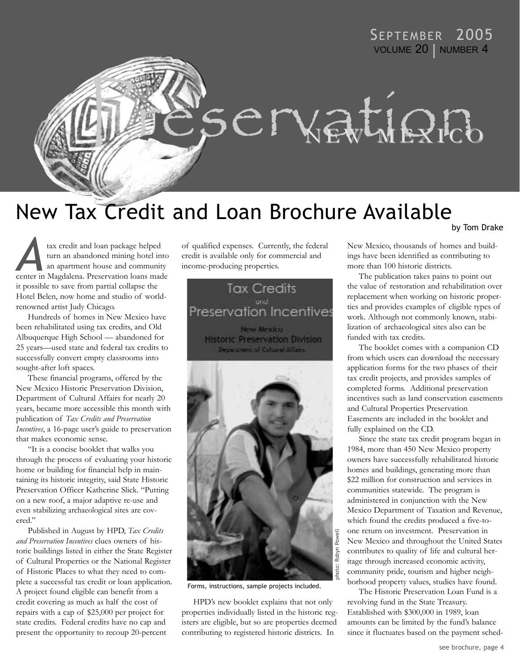# SEPTEMBER 2005 VOLUME 20 | NUMBER 4



# New Tax Credit and Loan Brochure Available by Tom Drake

tax credit and loan package helped turn an abandoned mining hotel into an apartment house and community tax credit and loan package helped<br>turn an abandoned mining hotel into<br>an apartment house and community<br>center in Magdalena. Preservation loans made it possible to save from partial collapse the Hotel Belen, now home and studio of worldrenowned artist Judy Chicago.

Hundreds of homes in New Mexico have been rehabilitated using tax credits, and Old Albuquerque High School — abandoned for 25 years—used state and federal tax credits to successfully convert empty classrooms into sought-after loft spaces.

These financial programs, offered by the New Mexico Historic Preservation Division, Department of Cultural Affairs for nearly 20 years, became more accessible this month with publication of *Tax Credits and Preservation Incentives*, a 16-page user's guide to preservation that makes economic sense.

"It is a concise booklet that walks you through the process of evaluating your historic home or building for financial help in maintaining its historic integrity, said State Historic Preservation Officer Katherine Slick. "Putting on a new roof, a major adaptive re-use and even stabilizing archaeological sites are covered."

Published in August by HPD, *Tax Credits and Preservation Incentives* clues owners of historic buildings listed in either the State Register of Cultural Properties or the National Register of Historic Places to what they need to complete a successful tax credit or loan application. A project found eligible can benefit from a credit covering as much as half the cost of repairs with a cap of \$25,000 per project for state credits. Federal credits have no cap and present the opportunity to recoup 20-percent

of qualified expenses. Currently, the federal credit is available only for commercial and income-producing properties.

**Tax Credits** <sub>and</sub><br>Preservation Incentives New Mexico **Historic Preservation Division** Department of Cultural Affairs



Forms, instructions, sample projects included.

HPD's new booklet explains that not only properties individually listed in the historic registers are eligible, but so are properties deemed contributing to registered historic districts. In

New Mexico, thousands of homes and buildings have been identified as contributing to more than 100 historic districts.

The publication takes pains to point out the value of restoration and rehabilitation over replacement when working on historic properties and provides examples of eligible types of work. Although not commonly known, stabilization of archaeological sites also can be funded with tax credits.

The booklet comes with a companion CD from which users can download the necessary application forms for the two phases of their tax credit projects, and provides samples of completed forms. Additional preservation incentives such as land conservation easements and Cultural Properties Preservation Easements are included in the booklet and fully explained on the CD.

Since the state tax credit program began in 1984, more than 450 New Mexico property owners have successfully rehabilitated historic homes and buildings, generating more than \$22 million for construction and services in communities statewide. The program is administered in conjunction with the New Mexico Department of Taxation and Revenue, which found the credits produced a five-toone return on investment. Preservation in New Mexico and throughout the United States contributes to quality of life and cultural heritage through increased economic activity, community pride, tourism and higher neighborhood property values, studies have found.

The Historic Preservation Loan Fund is a revolving fund in the State Treasury. Established with \$300,000 in 1989, loan amounts can be limited by the fund's balance since it fluctuates based on the payment sched-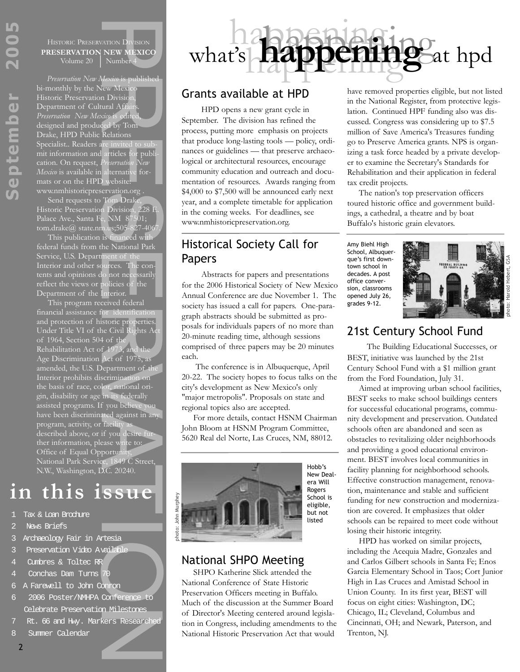HISTORIC PRESERVATION DIVISION **PRESERVATION NEW MEXICO**<br>Volume 20 Number 4

*Preservation New Mexico* is published bi-monthly by the New Mexico Historic Preservation Divisio Department of Cultural Aff *Preservation New Mexico* is edited, designed and produced by Tom Drake, HPD Public Relations Specialist.. Readers are invited mit information and articles for publication. On request, *Preservation New Mexico* is available in alternative formats or on the HPD website: www.nmhistoricpreservation.org .

Send requests to Tom Drake Historic Preservation Division, 228 E. Palace Ave., Santa Fe, NM 87501; tom.drake@ state.nm.us;505-827-406

This publication is financed with federal funds from the National Park Service, U.S. Department of the Interior and other sources. The contents and opinions do not necessarily reflect the views or policies of the Department of the Interior.

XITON DIVISION<br>
NEW MEXICO<br>
NEW MEXICO<br>
Number 4<br>
Mexico is published<br>
the Whexto<br>
Mexico is published<br>
the Mixicon,<br>
and Affairs,<br>
xico is edited,<br>
calentarity of Tom<br>
Relations<br>
articles for publi-<br>
articles for publi-<br> This program received federal financial assistance for identification and protection of historic properties. Under Title VI of the Civil Rights Ac of 1964, Section 504 of the<br>Rehabilitation Act of 1973, and Rehabilitation Act of 197 Age Discrimination Act of 1975, as amended, the U.S. Department of the Interior prohibits discrimination on the basis of race, color, national origin, disability or age in its federally assisted programs. If you believe you have been discriminated against in any program, activity, or facilit described above, or if you desire further information, please write to: Office of Equal Opportunity, National Park Service, 1849 C Street, N.W., Washington, D.C. 20240.

# **in this issue**

- 1 Tax & Loan Brochure
- News Briefs
- 3 Archaeology Fair in Artesia
- 3 Preservation Video Available
- 4 Cumbres & Toltec RR
- Conchas Dam Turns
- 6 A Farewell to John Conron
- 6 2006 Poster/NMHPA Conference to Celebrate Preservation Milestones
- 7 Rt. 66 and Hwy. Markers Researched
- 8 Summer Calendar



HPD opens a new grant cycle in September. The division has refined the process, putting more emphasis on projects that produce long-lasting tools — policy, ordinances or guidelines — that preserve archaeological or architectural resources, encourage community education and outreach and documentation of resources. Awards ranging from \$4,000 to \$7,500 will be announced early next year, and a complete timetable for application in the coming weeks. For deadlines, see www.nmhistoricpreservation.org.

# Historical Society Call for Papers

Abstracts for papers and presentations for the 2006 Historical Society of New Mexico Annual Conference are due November 1. The society has issued a call for papers. One-paragraph abstracts should be submitted as proposals for individuals papers of no more than 20-minute reading time, although sessions comprised of three papers may be 20 minutes each.

The conference is in Albuquerque, April 20-22. The society hopes to focus talks on the city's development as New Mexico's only "major metropolis". Proposals on state and regional topics also are accepted.

For more details, contact HSNM Chairman John Bloom at HSNM Program Committee, 5620 Real del Norte, Las Cruces, NM, 88012.



## National SHPO Meeting

SHPO Katherine Slick attended the National Conference of State Historic Preservation Officers meeting in Buffalo. Much of the discussion at the Summer Board of Director's Meeting centered around legislation in Congress, including amendments to the National Historic Preservation Act that would

have removed properties eligible, but not listed in the National Register, from protective legislation. Continued HPF funding also was discussed. Congress was considering up to \$7.5 million of Save America's Treasures funding go to Preserve America grants. NPS is organizing a task force headed by a private developer to examine the Secretary's Standards for Rehabilitation and their application in federal tax credit projects.

The nation's top preservation officers toured historic office and government buildings, a cathedral, a theatre and by boat Buffalo's historic grain elevators.

Amy Biehl High School, Albuquerque's first downtown school in decades. A post office conversion, classrooms opened July 26, grades 9-12.

ha**happening** & hpd



# 21st Century School Fund

The Building Educational Successes, or BEST, initiative was launched by the 21st Century School Fund with a \$1 million grant from the Ford Foundation, July 31.

Aimed at improving urban school facilities, BEST seeks to make school buildings centers for successful educational programs, community development and preservation. Outdated schools often are abandoned and seen as obstacles to revitalizing older neighborhoods and providing a good educational environment. BEST involves local communities in facility planning for neighborhood schools. Effective construction management, renovation, maintenance and stable and sufficient funding for new construction and modernization are covered. It emphasizes that older schools can be repaired to meet code without losing their historic integrity.

HPD has worked on similar projects, including the Acequia Madre, Gonzales and and Carlos Gilbert schools in Santa Fe; Enos Garcia Elementary School in Taos; Cort Junior High in Las Cruces and Amistad School in Union County. In its first year, BEST will focus on eight cities: Washington, DC; Chicago, IL; Cleveland, Columbus and Cincinnati, OH; and Newark, Paterson, and Trenton, NJ.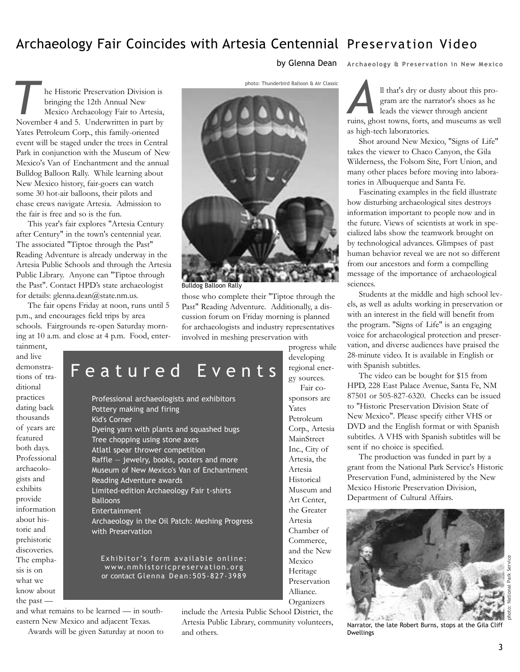# Archaeology Fair Coincides with Artesia Centennial Preservation Video

by Glenna Dean **Archaeology & Preservation in New Mexico**

he Historic Preservation Division is bringing the 12th Annual New Mexico Archaeology Fair to Artesia, **Example 12 and 7 and 7 and 7 and 7 and 7 and 7 and 7 and 7 and 7 and 5. Underwritten in part by** Yates Petroleum Corp., this family-oriented event will be staged under the trees in Central Park in conjunction with the Museum of New Mexico's Van of Enchantment and the annual Bulldog Balloon Rally. While learning about New Mexico history, fair-goers can watch some 30 hot-air balloons, their pilots and chase crews navigate Artesia. Admission to the fair is free and so is the fun.

This year's fair explores "Artesia Century after Century" in the town's centennial year. The associated "Tiptoe through the Past" Reading Adventure is already underway in the Artesia Public Schools and through the Artesia Public Library. Anyone can "Tiptoe through the Past". Contact HPD's state archaeologist for details: glenna.dean@state.nm.us.

The fair opens Friday at noon, runs until 5 p.m., and encourages field trips by area schools. Fairgrounds re-open Saturday morning at 10 a.m. and close at 4 p.m. Food, enter-

photo: Thunderbird Balloon & Air Classic



Bulldog Balloon Rally

those who complete their "Tiptoe through the Past" Reading Adventure. Additionally, a discussion forum on Friday morning is planned for archaeologists and industry representatives involved in meshing preservation with progress while

> developing regional energy sources. Fair cosponsors are Yates Petroleum Corp., Artesia MainStreet Inc., City of Artesia, the Artesia Historical Museum and Art Center, the Greater Artesia Chamber of Commerce, and the New Mexico Heritage Preservation Alliance. **Organizers**

tainment, and live demonstrations of traditional practices dating back thousands of years are featured both days. Professional archaeologists and exhibits provide information about historic and prehistoric discoveries. The emphasis is on what we know about the past —

# Featured Events

Professional archaeologists and exhibitors Pottery making and firing Kid's Corner Dyeing yarn with plants and squashed bugs Tree chopping using stone axes Atlatl spear thrower competition Raffle — jewelry, books, posters and more Museum of New Mexico's Van of Enchantment Reading Adventure awards Limited-edition Archaeology Fair t-shirts **Balloons** Entertainment Archaeology in the Oil Patch: Meshing Progress with Preservation

Exhibitor's form available online: www.nmhistoricpreservation.org or contact Glenna Dean:505-827-3989

and what remains to be learned — in southeastern New Mexico and adjacent Texas.

Awards will be given Saturday at noon to

include the Artesia Public School District, the Artesia Public Library, community volunteers, and others.

ll that's dry or dusty about this program are the narrator's shoes as he leads the viewer through ancient Il that's dry or dusty about this program are the narrator's shoes as he leads the viewer through ancient ruins, ghost towns, forts, and museums as well as high-tech laboratories.

Shot around New Mexico, "Signs of Life" takes the viewer to Chaco Canyon, the Gila Wilderness, the Folsom Site, Fort Union, and many other places before moving into laboratories in Albuquerque and Santa Fe.

Fascinating examples in the field illustrate how disturbing archaeological sites destroys information important to people now and in the future. Views of scientists at work in specialized labs show the teamwork brought on by technological advances. Glimpses of past human behavior reveal we are not so different from our ancestors and form a compelling message of the importance of archaeological sciences.

Students at the middle and high school levels, as well as adults working in preservation or with an interest in the field will benefit from the program. "Signs of Life" is an engaging voice for archaeological protection and preservation, and diverse audiences have praised the 28-minute video. It is available in English or with Spanish subtitles.

The video can be bought for \$15 from HPD, 228 East Palace Avenue, Santa Fe, NM 87501 or 505-827-6320. Checks can be issued to "Historic Preservation Division State of New Mexico". Please specify either VHS or DVD and the English format or with Spanish subtitles. A VHS with Spanish subtitles will be sent if no choice is specified.

The production was funded in part by a grant from the National Park Service's Historic Preservation Fund, administered by the New Mexico Historic Preservation Division, Department of Cultural Affairs.



photo: National Park Service

Narrator, the late Robert Burns, stops at the Gila Cliff **Dwellings**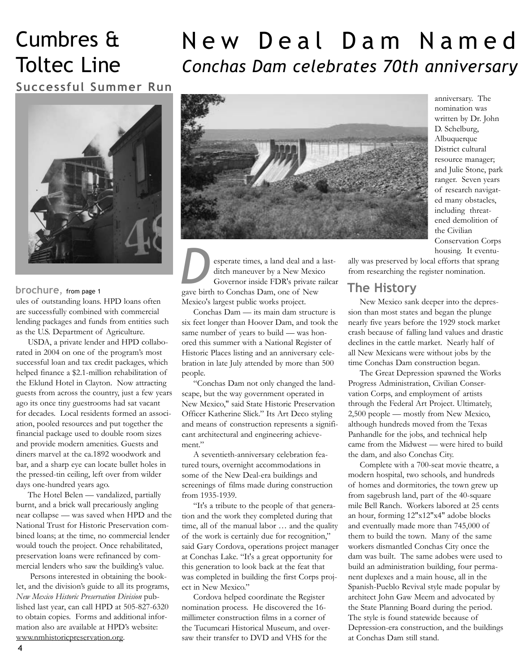# Cumbres & Toltec Line

# New Deal Dam Named *Conchas Dam celebrates 70th anniversary*

**Successful Summer Run**



## **brochure**, from page 1

ules of outstanding loans. HPD loans often are successfully combined with commercial lending packages and funds from entities such as the U.S. Department of Agriculture.

USDA, a private lender and HPD collaborated in 2004 on one of the program's most successful loan and tax credit packages, which helped finance a \$2.1-million rehabilitation of the Eklund Hotel in Clayton. Now attracting guests from across the country, just a few years ago its once tiny guestrooms had sat vacant for decades. Local residents formed an association, pooled resources and put together the financial package used to double room sizes and provide modern amenities. Guests and diners marvel at the ca.1892 woodwork and bar, and a sharp eye can locate bullet holes in the pressed-tin ceiling, left over from wilder days one-hundred years ago.

The Hotel Belen — vandalized, partially burnt, and a brick wall precariously angling near collapse — was saved when HPD and the National Trust for Historic Preservation combined loans; at the time, no commercial lender would touch the project. Once rehabilitated, preservation loans were refinanced by commercial lenders who saw the building's value.

Persons interested in obtaining the booklet, and the division's guide to all its programs, *New Mexico Historic Preservation Division* published last year, can call HPD at 505-827-6320 to obtain copies. Forms and additional information also are available at HPD's website: www.nmhistoricpreservation.org.



esperate times, a land deal and a lastditch maneuver by a New Mexico Governor inside FDR's private railcar gave birth to Conchas Dam, one of New Mexico's largest public works project. **D** esperate times, a land deal and a last-<br>ditch maneuver by a New Mexico<br>Governor inside FDR's private railcar<br>gave birth to Conchas Dam, one of New **The History** 

Conchas Dam — its main dam structure is six feet longer than Hoover Dam, and took the same number of years to build — was honored this summer with a National Register of Historic Places listing and an anniversary celebration in late July attended by more than 500 people.

"Conchas Dam not only changed the landscape, but the way government operated in New Mexico," said State Historic Preservation Officer Katherine Slick." Its Art Deco styling and means of construction represents a significant architectural and engineering achievement."

A seventieth-anniversary celebration featured tours, overnight accommodations in some of the New Deal-era buildings and screenings of films made during construction from 1935-1939.

"It's a tribute to the people of that generation and the work they completed during that time, all of the manual labor … and the quality of the work is certainly due for recognition," said Gary Cordova, operations project manager at Conchas Lake. "It's a great opportunity for this generation to look back at the feat that was completed in building the first Corps project in New Mexico."

Cordova helped coordinate the Register nomination process. He discovered the 16 millimeter construction films in a corner of the Tucumcari Historical Museum, and oversaw their transfer to DVD and VHS for the

anniversary. The nomination was written by Dr. John D. Schelburg, Albuquerque District cultural resource manager; and Julie Stone, park ranger. Seven years of research navigated many obstacles, including threatened demolition of the Civilian Conservation Corps housing. It eventu-

ally was preserved by local efforts that sprang from researching the register nomination.

New Mexico sank deeper into the depression than most states and began the plunge nearly five years before the 1929 stock market crash because of falling land values and drastic declines in the cattle market. Nearly half of all New Mexicans were without jobs by the time Conchas Dam construction began.

The Great Depression spawned the Works Progress Administration, Civilian Conservation Corps, and employment of artists through the Federal Art Project. Ultimately, 2,500 people — mostly from New Mexico, although hundreds moved from the Texas Panhandle for the jobs, and technical help came from the Midwest — were hired to build the dam, and also Conchas City.

Complete with a 700-seat movie theatre, a modern hospital, two schools, and hundreds of homes and dormitories, the town grew up from sagebrush land, part of the 40-square mile Bell Ranch. Workers labored at 25 cents an hour, forming 12"x12"x4" adobe blocks and eventually made more than 745,000 of them to build the town. Many of the same workers dismantled Conchas City once the dam was built. The same adobes were used to build an administration building, four permanent duplexes and a main house, all in the Spanish-Pueblo Revival style made popular by architect John Gaw Meem and advocated by the State Planning Board during the period. The style is found statewide because of Depression-era construction, and the buildings at Conchas Dam still stand.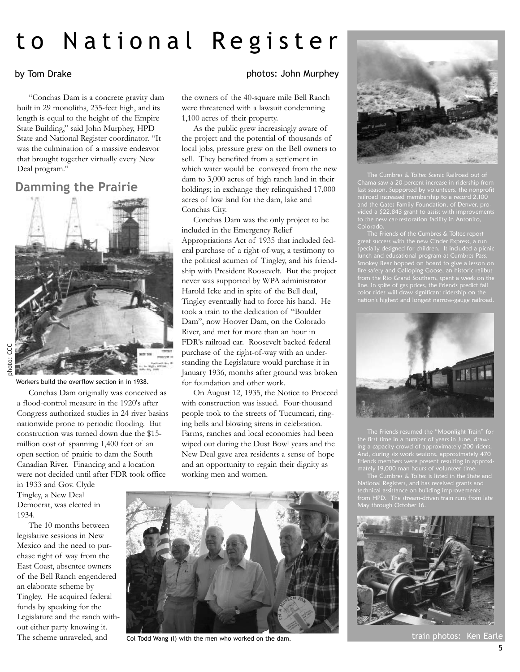# to National Register

## by Tom Drake

"Conchas Dam is a concrete gravity dam built in 29 monoliths, 235-feet high, and its length is equal to the height of the Empire State Building," said John Murphey, HPD State and National Register coordinator. "It was the culmination of a massive endeavor that brought together virtually every New Deal program."

## **Damming the Prairie**



Workers build the overflow section in in 1938.

Conchas Dam originally was conceived as a flood-control measure in the 1920's after Congress authorized studies in 24 river basins nationwide prone to periodic flooding. But construction was turned down due the \$15 million cost of spanning 1,400 feet of an open section of prairie to dam the South Canadian River. Financing and a location were not decided until after FDR took office

in 1933 and Gov. Clyde Tingley, a New Deal Democrat, was elected in 1934.

The 10 months between legislative sessions in New Mexico and the need to purchase right of way from the East Coast, absentee owners of the Bell Ranch engendered an elaborate scheme by Tingley. He acquired federal funds by speaking for the Legislature and the ranch without either party knowing it. The scheme unraveled, and

## photos: John Murphey

the owners of the 40-square mile Bell Ranch were threatened with a lawsuit condemning 1,100 acres of their property.

As the public grew increasingly aware of the project and the potential of thousands of local jobs, pressure grew on the Bell owners to sell. They benefited from a settlement in which water would be conveyed from the new dam to 3,000 acres of high ranch land in their holdings; in exchange they relinquished 17,000 acres of low land for the dam, lake and Conchas City.

Conchas Dam was the only project to be included in the Emergency Relief Appropriations Act of 1935 that included federal purchase of a right-of-way, a testimony to the political acumen of Tingley, and his friendship with President Roosevelt. But the project never was supported by WPA administrator Harold Icke and in spite of the Bell deal, Tingley eventually had to force his hand. He took a train to the dedication of "Boulder Dam", now Hoover Dam, on the Colorado River, and met for more than an hour in FDR's railroad car. Roosevelt backed federal purchase of the right-of-way with an understanding the Legislature would purchase it in January 1936, months after ground was broken for foundation and other work.

On August 12, 1935, the Notice to Proceed with construction was issued. Four-thousand people took to the streets of Tucumcari, ringing bells and blowing sirens in celebration. Farms, ranches and local economies had been wiped out during the Dust Bowl years and the New Deal gave area residents a sense of hope and an opportunity to regain their dignity as working men and women.



Col Todd Wang (l) with the men who worked on the dam.



The Cumbres & Toltec Scenic Railroad out of Chama saw a 20-percent increase in ridership from last season. Supported by volunteers, the nonprofit railroad increased membership to a record 2,100 a \$22,843 grant to assist with improvements Colorado.

The Friends of the Cumbres & Toltec report great success with the new Cinder Express, a run specially designed for children. It included a picnic lunch and educational program at Cumbres Pass. Smokey Bear hopped on board to give a lesson on fire safety and Galloping Goose, an historic railbus line. In spite of gas prices, the Friends predict fall color rides will draw significant ridership on the nation's highest and longest narrow-gauge railroad.



The Friends resumed the "Moonlight Train" for ing a capacity crowd of approximately 200 riders. And, during six work sessions, approximately 470 Friends members were present resulting in approximately 19,000 man hours of volunteer time.

The Cumbres & Toltec is listed in the State and National Registers, and has received grants and technical assistance on building improvements from HPD. The stream-driven train runs from late May through October 16.



train photos: Ken Ear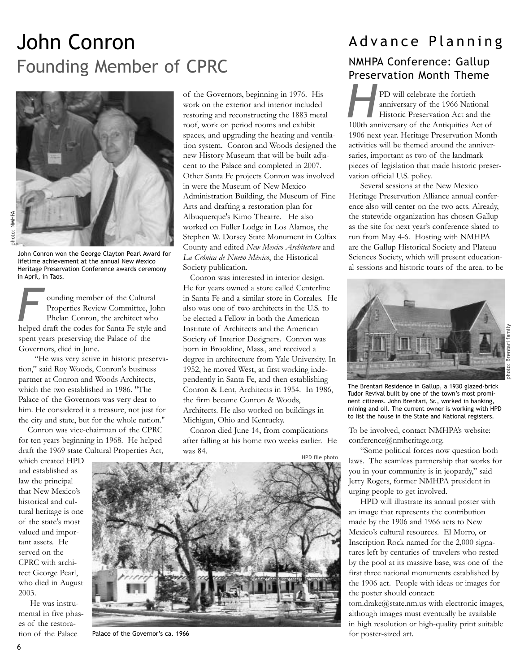# John Conron Founding Member of CPRC



John Conron won the George Clayton Pearl Award for lifetime achievement at the annual New Mexico Heritage Preservation Conference awards ceremony in April, in Taos.

ounding member of the Cultural Properties Review Committee, John Phelan Conron, the architect who ounding member of the Cultural<br> **Properties Review Committee**, John<br>
Phelan Conron, the architect who<br>
helped draft the codes for Santa Fe style and spent years preserving the Palace of the Governors, died in June.

"He was very active in historic preservation," said Roy Woods, Conron's business partner at Conron and Woods Architects, which the two established in 1986. "The Palace of the Governors was very dear to him. He considered it a treasure, not just for the city and state, but for the whole nation."

Conron was vice-chairman of the CPRC for ten years beginning in 1968. He helped draft the 1969 state Cultural Properties Act,

which created HPD and established as law the principal that New Mexico's historical and cultural heritage is one of the state's most valued and important assets. He served on the CPRC with architect George Pearl, who died in August 2003.

He was instrumental in five phases of the restoration of the Palace

of the Governors, beginning in 1976. His work on the exterior and interior included restoring and reconstructing the 1883 metal roof, work on period rooms and exhibit spaces, and upgrading the heating and ventilation system. Conron and Woods designed the new History Museum that will be built adjacent to the Palace and completed in 2007. Other Santa Fe projects Conron was involved in were the Museum of New Mexico Administration Building, the Museum of Fine Arts and drafting a restoration plan for Albuquerque's Kimo Theatre. He also worked on Fuller Lodge in Los Alamos, the Stephen W. Dorsey State Monument in Colfax County and edited *New Mexico Architecture* and *La Crónica de Nuevo México*, the Historical Society publication.

Conron was interested in interior design. He for years owned a store called Centerline in Santa Fe and a similar store in Corrales. He also was one of two architects in the U.S. to be elected a Fellow in both the American Institute of Architects and the American Society of Interior Designers. Conron was born in Brookline, Mass., and received a degree in architecture from Yale University. In 1952, he moved West, at first working independently in Santa Fe, and then establishing Conron & Lent, Architects in 1954. In 1986, the firm became Conron & Woods, Architects. He also worked on buildings in Michigan, Ohio and Kentucky.

Conron died June 14, from complications after falling at his home two weeks earlier. He was 84.

HPD file photo



Palace of the Governor's ca. 1966

# Advance Planning

# NMHPA Conference: Gallup Preservation Month Theme

PD will celebrate the fortieth anniversary of the 1966 National Historic Preservation Act and the PD will celebrate the fortieth<br>
anniversary of the 1966 National<br>
Historic Preservation Act and the<br>
100th anniversary of the Antiquities Act of 1906 next year. Heritage Preservation Month activities will be themed around the anniversaries, important as two of the landmark pieces of legislation that made historic preservation official U.S. policy.

Several sessions at the New Mexico Heritage Preservation Alliance annual conference also will center on the two acts. Already, the statewide organization has chosen Gallup as the site for next year's conference slated to run from May 4-6. Hosting with NMHPA are the Gallup Historical Society and Plateau Sciences Society, which will present educational sessions and historic tours of the area. to be



The Brentari Residence in Gallup, a 1930 glazed-brick Tudor Revival built by one of the town's most prominent citizens. John Brentari, Sr., worked in banking, mining and oil. The current owner is working with HPD to list the house in the State and National registers.

To be involved, contact NMHPA's website: conference@nmheritage.org.

"Some political forces now question both laws. The seamless partnership that works for you in your community is in jeopardy," said Jerry Rogers, former NMHPA president in urging people to get involved.

HPD will illustrate its annual poster with an image that represents the contribution made by the 1906 and 1966 acts to New Mexico's cultural resources. El Morro, or Inscription Rock named for the 2,000 signatures left by centuries of travelers who rested by the pool at its massive base, was one of the first three national monuments established by the 1906 act. People with ideas or images for the poster should contact:

tom.drake@state.nm.us with electronic images, although images must eventually be available in high resolution or high-quality print suitable for poster-sized art.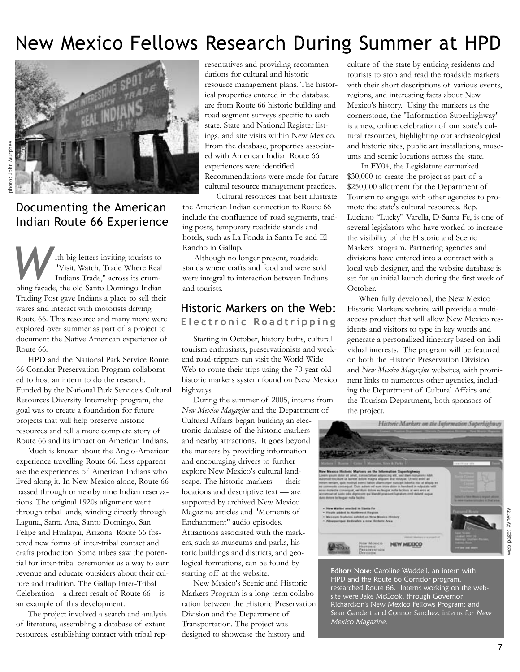# New Mexico Fellows Research During Summer at HPD



Documenting the American Indian Route 66 Experience

ith big letters inviting tourists to "Visit, Watch, Trade Where Real Indians Trade," across its crumbling façade, the old Santo Domingo Indian Trading Post gave Indians a place to sell their wares and interact with motorists driving Route 66. This resource and many more were explored over summer as part of a project to document the Native American experience of Route 66. Example 19 and to the big letters inviting tourists to the although no longer present, roadside<br>
"Visit, Watch, Trade Where Real<br>
Indians Trade," across its crum-<br>
bling faced the old Santo Domingo Indian<br>
and tourists

HPD and the National Park Service Route 66 Corridor Preservation Program collaborated to host an intern to do the research. Funded by the National Park Service's Cultural Resources Diversity Internship program, the goal was to create a foundation for future projects that will help preserve historic resources and tell a more complete story of Route 66 and its impact on American Indians.

Much is known about the Anglo-American experience travelling Route 66. Less apparent are the experiences of American Indians who lived along it. In New Mexico alone, Route 66 passed through or nearby nine Indian reservations. The original 1920s alignment went through tribal lands, winding directly through Laguna, Santa Ana, Santo Domingo, San Felipe and Hualapai, Arizona. Route 66 fostered new forms of inter-tribal contact and crafts production. Some tribes saw the potential for inter-tribal ceremonies as a way to earn revenue and educate outsiders about their culture and tradition. The Gallup Inter-Tribal Celebration – a direct result of Route  $66 - is$ an example of this development.

The project involved a search and analysis of literature, assembling a database of extant resources, establishing contact with tribal representatives and providing recommendations for cultural and historic resource management plans. The historical properties entered in the database are from Route 66 historic building and road segment surveys specific to each state, State and National Register listings, and site visits within New Mexico. From the database, properties associated with American Indian Route 66 experiences were identified. Recommendations were made for future cultural resource management practices.

Cultural resources that best illustrate the American Indian connection to Route 66 include the confluence of road segments, trading posts, temporary roadside stands and hotels, such as La Fonda in Santa Fe and El Rancho in Gallup.

Although no longer present, roadside stands where crafts and food and were sold and tourists.

## Historic Markers on the Web: **Electronic Roadtripping**

Starting in October, history buffs, cultural tourism enthusiasts, preservationists and weekend road-trippers can visit the World Wide Web to route their trips using the 70-year-old historic markers system found on New Mexico highways.

During the summer of 2005, interns from *New Mexico Magazine* and the Department of Cultural Affairs began building an electronic database of the historic markers and nearby attractions. It goes beyond the markers by providing information and encouraging drivers to further explore New Mexico's cultural landscape. The historic markers — their locations and descriptive text — are supported by archived New Mexico Magazine articles and "Moments of Enchantment" audio episodes. Attractions associated with the markers, such as museums and parks, historic buildings and districts, and geological formations, can be found by starting off at the website.

New Mexico's Scenic and Historic Markers Program is a long-term collaboration between the Historic Preservation Division and the Department of Transportation. The project was designed to showcase the history and

culture of the state by enticing residents and tourists to stop and read the roadside markers with their short descriptions of various events, regions, and interesting facts about New Mexico's history. Using the markers as the cornerstone, the "Information Superhighway" is a new, online celebration of our state's cultural resources, highlighting our archaeological and historic sites, public art installations, museums and scenic locations across the state.

In FY04, the Legislature earmarked \$30,000 to create the project as part of a \$250,000 allotment for the Department of Tourism to engage with other agencies to promote the state's cultural resources. Rep. Luciano "Lucky" Varella, D-Santa Fe, is one of several legislators who have worked to increase the visibility of the Historic and Scenic Markers program. Partnering agencies and divisions have entered into a contract with a local web designer, and the website database is set for an initial launch during the first week of October.

When fully developed, the New Mexico Historic Markers website will provide a multiaccess product that will allow New Mexico residents and visitors to type in key words and generate a personalized itinerary based on individual interests. The program will be featured on both the Historic Preservation Division and *New Mexico Magazine* websites, with prominent links to numerous other agencies, including the Department of Cultural Affairs and the Tourism Department, both sponsors of the project.



Editors Note: Caroline Waddell, an intern with HPD and the Route 66 Corridor program, researched Route 66. Interns working on the website were Jake McCook, through Governor Richardson's New Mexico Fellows Program; and Sean Gandert and Connor Sanchez, interns for New Mexico Magazine.